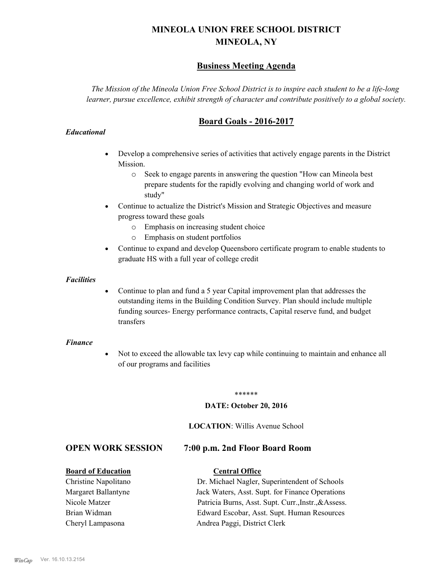# **MINEOLA UNION FREE SCHOOL DISTRICT MINEOLA, NY**

# **Business Meeting Agenda**

*The Mission of the Mineola Union Free School District is to inspire each student to be a life-long learner, pursue excellence, exhibit strength of character and contribute positively to a global society.*

# **Board Goals - 2016-2017**

### *Educational*

- · Develop a comprehensive series of activities that actively engage parents in the District Mission.
	- o Seek to engage parents in answering the question "How can Mineola best prepare students for the rapidly evolving and changing world of work and study"
- · Continue to actualize the District's Mission and Strategic Objectives and measure progress toward these goals
	- o Emphasis on increasing student choice
	- o Emphasis on student portfolios
- · Continue to expand and develop Queensboro certificate program to enable students to graduate HS with a full year of college credit

### *Facilities*

· Continue to plan and fund a 5 year Capital improvement plan that addresses the outstanding items in the Building Condition Survey. Plan should include multiple funding sources- Energy performance contracts, Capital reserve fund, and budget transfers

### *Finance*

• Not to exceed the allowable tax levy cap while continuing to maintain and enhance all of our programs and facilities

### \*\*\*\*\*\*

### **DATE: October 20, 2016**

### **LOCATION**: Willis Avenue School

# **OPEN WORK SESSION 7:00 p.m. 2nd Floor Board Room**

### **Board of Education Central Office**

Christine Napolitano Dr. Michael Nagler, Superintendent of Schools Margaret Ballantyne Jack Waters, Asst. Supt. for Finance Operations Nicole Matzer Patricia Burns, Asst. Supt. Curr.,Instr.,&Assess. Brian Widman Edward Escobar, Asst. Supt. Human Resources Cheryl Lampasona Andrea Paggi, District Clerk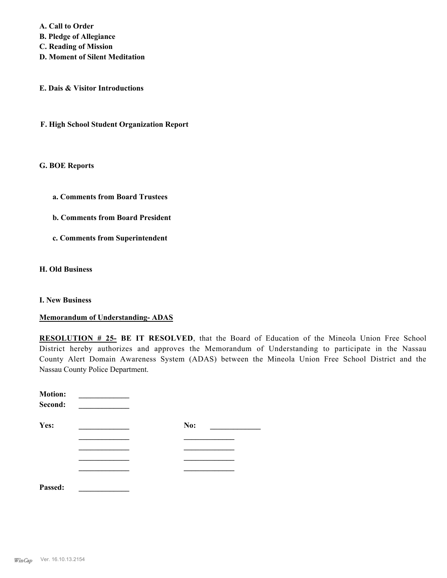**A. Call to Order B. Pledge of Allegiance C. Reading of Mission D. Moment of Silent Meditation**

**E. Dais & Visitor Introductions**

**F. High School Student Organization Report**

**G. BOE Reports**

**a. Comments from Board Trustees**

**b. Comments from Board President**

**c. Comments from Superintendent**

**H. Old Business**

**I. New Business**

**Memorandum of Understanding- ADAS**

**RESOLUTION # 25- BE IT RESOLVED**, that the Board of Education of the Mineola Union Free School District hereby authorizes and approves the Memorandum of Understanding to participate in the Nassau County Alert Domain Awareness System (ADAS) between the Mineola Union Free School District and the Nassau County Police Department.

| <b>Motion:</b><br>Second: |     |
|---------------------------|-----|
| Yes:                      | No: |
|                           |     |
|                           |     |
|                           |     |
|                           |     |
| Passed:                   |     |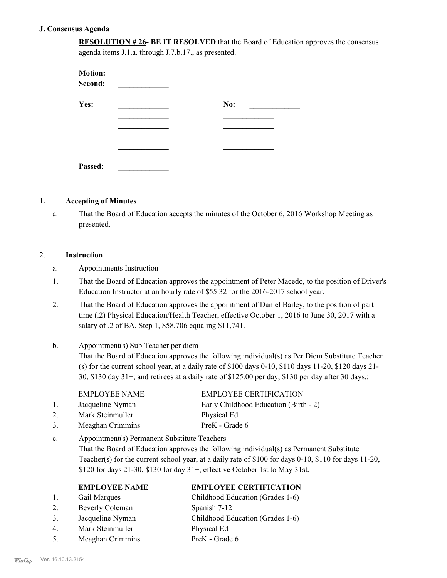### **J. Consensus Agenda**

**RESOLUTION # 26- BE IT RESOLVED** that the Board of Education approves the consensus agenda items J.1.a. through J.7.b.17., as presented.

| <b>Motion:</b><br>Second: |     |
|---------------------------|-----|
| Yes:                      | No: |
|                           |     |
|                           |     |
|                           |     |
|                           |     |
| Passed:                   |     |

### 1. **Accepting of Minutes**

That the Board of Education accepts the minutes of the October 6, 2016 Workshop Meeting as presented. a.

### 2. **Instruction**

- a. Appointments Instruction
- That the Board of Education approves the appointment of Peter Macedo, to the position of Driver's Education Instructor at an hourly rate of \$55.32 for the 2016-2017 school year. 1.
- That the Board of Education approves the appointment of Daniel Bailey, to the position of part time (.2) Physical Education/Health Teacher, effective October 1, 2016 to June 30, 2017 with a salary of .2 of BA, Step 1, \$58,706 equaling \$11,741. 2.

### Appointment(s) Sub Teacher per diem That the Board of Education approves the following individual(s) as Per Diem Substitute Teacher (s) for the current school year, at a daily rate of  $$100$  days  $0-10$ ,  $$110$  days  $11-20$ ,  $$120$  days  $21-$ 30, \$130 day 31+; and retirees at a daily rate of \$125.00 per day, \$130 per day after 30 days.: b.

### EMPLOYEE NAME EMPLOYEE CERTIFICATION

2. Mark Steinmuller Physical Ed 3. Meaghan Crimmins PreK - Grade 6

5. Meaghan Crimmins PreK - Grade 6

- 1. Jacqueline Nyman Early Childhood Education (Birth 2)
- Appointment(s) Permanent Substitute Teachers That the Board of Education approves the following individual(s) as Permanent Substitute Teacher(s) for the current school year, at a daily rate of \$100 for days 0-10, \$110 for days 11-20, \$120 for days 21-30, \$130 for day 31+, effective October 1st to May 31st. c.

### **EMPLOYEE NAME EMPLOYEE CERTIFICATION**

- 1. Gail Marques Childhood Education (Grades 1-6) 2. Beverly Coleman Spanish 7-12 3. Jacqueline Nyman Childhood Education (Grades 1-6) 4. Mark Steinmuller Physical Ed
- *WinCap* Ver. 16.10.13.2154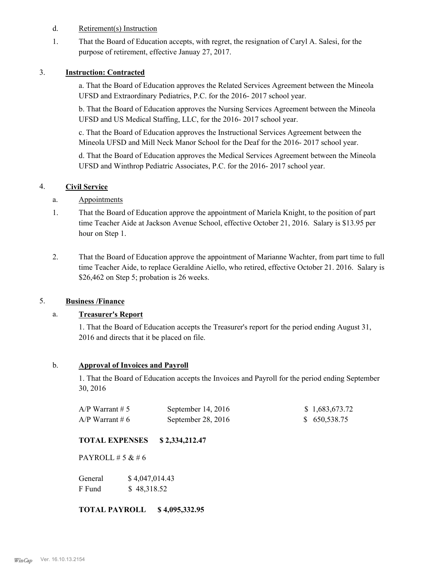- d. Retirement(s) Instruction
- That the Board of Education accepts, with regret, the resignation of Caryl A. Salesi, for the purpose of retirement, effective Januay 27, 2017. 1.

### 3. **Instruction: Contracted**

a. That the Board of Education approves the Related Services Agreement between the Mineola UFSD and Extraordinary Pediatrics, P.C. for the 2016- 2017 school year.

b. That the Board of Education approves the Nursing Services Agreement between the Mineola UFSD and US Medical Staffing, LLC, for the 2016- 2017 school year.

c. That the Board of Education approves the Instructional Services Agreement between the Mineola UFSD and Mill Neck Manor School for the Deaf for the 2016- 2017 school year.

d. That the Board of Education approves the Medical Services Agreement between the Mineola UFSD and Winthrop Pediatric Associates, P.C. for the 2016- 2017 school year.

### 4. **Civil Service**

### a. Appointments

- That the Board of Education approve the appointment of Mariela Knight, to the position of part time Teacher Aide at Jackson Avenue School, effective October 21, 2016. Salary is \$13.95 per hour on Step 1. 1.
- That the Board of Education approve the appointment of Marianne Wachter, from part time to full time Teacher Aide, to replace Geraldine Aiello, who retired, effective October 21. 2016. Salary is \$26,462 on Step 5; probation is 26 weeks. 2.

### 5. **Business /Finance**

### a. **Treasurer's Report**

1. That the Board of Education accepts the Treasurer's report for the period ending August 31, 2016 and directs that it be placed on file.

### b. **Approval of Invoices and Payroll**

1. That the Board of Education accepts the Invoices and Payroll for the period ending September 30, 2016

| A/P Warrant # 5 | September $14, 2016$ | \$1,683,673.72 |
|-----------------|----------------------|----------------|
| A/P Warrant # 6 | September 28, 2016   | \$ 650,538.75  |

### **TOTAL EXPENSES \$ 2,334,212.47**

PAYROLL  $# 5 & 46$ 

| General | \$4,047,014.43 |
|---------|----------------|
| F Fund  | \$48,318.52    |

**TOTAL PAYROLL \$ 4,095,332.95**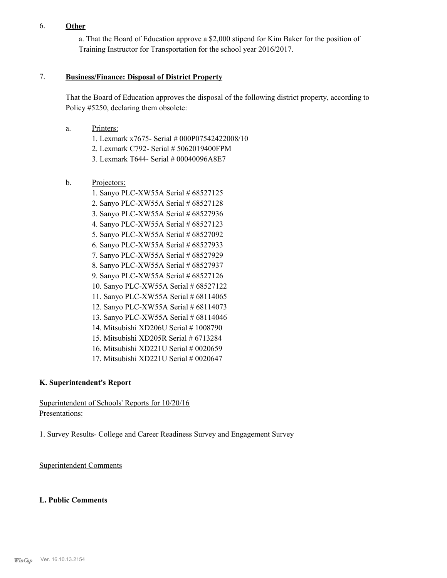## 6. **Other**

a. That the Board of Education approve a \$2,000 stipend for Kim Baker for the position of Training Instructor for Transportation for the school year 2016/2017.

### **Business/Finance: Disposal of District Property** 7.

That the Board of Education approves the disposal of the following district property, according to Policy #5250, declaring them obsolete:

- Printers: a.
	- 1. Lexmark x7675- Serial # 000P07542422008/10
	- 2. Lexmark C792- Serial # 5062019400FPM
	- 3. Lexmark T644- Serial # 00040096A8E7
- Projectors: b.
	- 1. Sanyo PLC-XW55A Serial # 68527125
	- 2. Sanyo PLC-XW55A Serial # 68527128
	- 3. Sanyo PLC-XW55A Serial # 68527936
	- 4. Sanyo PLC-XW55A Serial # 68527123
	- 5. Sanyo PLC-XW55A Serial # 68527092
	- 6. Sanyo PLC-XW55A Serial # 68527933
	- 7. Sanyo PLC-XW55A Serial # 68527929
	- 8. Sanyo PLC-XW55A Serial # 68527937
	- 9. Sanyo PLC-XW55A Serial # 68527126
	- 10. Sanyo PLC-XW55A Serial # 68527122
	- 11. Sanyo PLC-XW55A Serial # 68114065
	- 12. Sanyo PLC-XW55A Serial # 68114073
	- 13. Sanyo PLC-XW55A Serial # 68114046
	- 14. Mitsubishi XD206U Serial # 1008790
	- 15. Mitsubishi XD205R Serial # 6713284
	- 16. Mitsubishi XD221U Serial # 0020659
	- 17. Mitsubishi XD221U Serial # 0020647

## **K. Superintendent's Report**

# Superintendent of Schools' Reports for 10/20/16 Presentations:

1. Survey Results- College and Career Readiness Survey and Engagement Survey

Superintendent Comments

### **L. Public Comments**